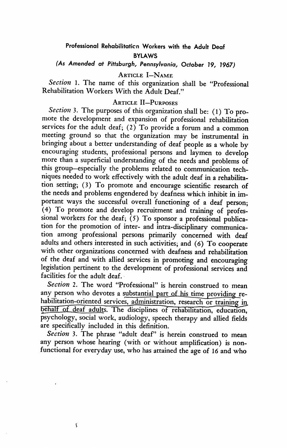# Professional Rehabilitation Workers with the Adult Deaf BYLAWS

# (As Amended at Pittsburgh, Pennsylvania, October 19, 1967)

Article I—Name

Section 1. The name of this organization shall be "Professional Rehabilitation Workers With the Adult Deaf."

## Article II—Purposes

Section 3. The purposes of this organization shall be: (1) To promote the development and expansion of professional rehabilitation services for the adult deaf; (2) To provide a forum and a common meeting ground so that the organization may be instrumental in bringing about a better understanding of deaf people as a whole by encouraging students, professional persons and laymen to develop more than a superficial understanding of the needs and problems of this group—especially the problems related to communication tech niques needed to work effectively with the adult deaf in a rehabilita tion setting; (3) To promote and encourage scientific research of the needs and problems engendered by deafness which inhibit in im portant ways the successful overall functioning of a deaf person; (4) To promote and develop recruitment and training of profes sional workers for the deaf;  $(5)$  To sponsor a professional publication for the promotion of inter- and intra-disciplinary communica tion among professional persons primarily concerned with deaf adults and others interested in such activities; and (6) To cooperate with other organizations concerned with deafness and rehabilitation of the deaf and with allied services in promoting and encouraging legislation pertinent to the development of professional services and facilities for the adult deaf.

Section 2. The word "Professional" is herein construed to mean any person who devotes a substantial part of his time providing rehabilitation-oriented services, administration, research or training in\_ behalf of deaf adults. The disciplines of rehabilitation, education, psychology, social work, audiology, speech therapy and allied fields are specifically included in this definition.

Section 3. The phrase "adult deaf" is herein construed to mean any person whose hearing (with or without amplification) is non functional for everyday use, who has attained the age of 16 and who

ł.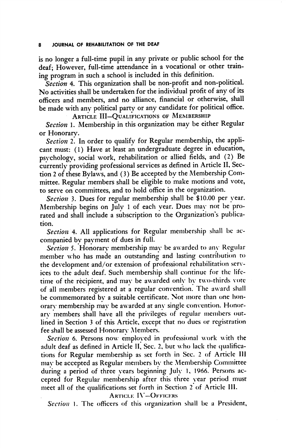#### JOURNAL OF REHABILITATION OF THE DEAF

is no longer a full-time pupil in any private or public school for the deaf; However, full-time attendance in a vocational or other train ing program in such a school is included in this definition.

Section 4. This organization shall be non-profit and non-political. No activities shall be undertaken for the individual profit of any of its officers and members, and no alliance, financial or otherwise, shall be made with any political party or any candidate for political office.

ARTICLE III-QUALIFICATIONS OF MEMBERSHIP

Section 1. Membership in this organization may be either Regular or Honorary.

Section 2. In order to qualify for Regular membership, the applicant must: (1) Have at least an undergraduate degree in education, psychology, social work, rehabilitation or allied fields, and (2) Be currently providing professional services as defined in Article II, Section 2 of these Bylaws, and (3) Be accepted by the Membership Com mittee. Regular members shall be eligible to make motions and vote, to serve on committees, and to hold office in the organization.

Section 3. Dues for regular membership shall be \$10.00 per year. Membership begins on Julv 1 of each year. Dues may not be pro rated and shall include a subscription to the Organization's publica tion.

Section 4. All applications for Regular membership shall be accompanied by payment of dues in full.

Section 5. Honorary membership may be awarded to any Regular member who has made an outstanding and lasting contribution to the development and/or extension of professional rehabilitation serv ices to the adult deaf. Such membership shall continue for the life time of the recipient, and may be awarded only by two-thirds vote of all members registered at a regular convention. The award shall be commemorated by a suitable certificate. Not more than one honorary membership may be awarded at any single convention. Honorary members shall have all the privileges of regular members out lined in Section 3 of this Article, except that no dues or registration fee shall be assessed Honorary Members.

Section 6. Persons now employed in professional work with the adult deaf as defined in Article II, Sec. 2, but who lack the qualifications for Regular membership as set forth in Sec. 2 of Article 111 may be accepted as Regular members by the Membership Committee during a period of three years beginning July 1, 1966. Persons ac cepted for Regular membership after this three year period must meet all of the qualifications set forth in Section 2 of Article III.

Article I\'—Officers

Section 1. The officers of this organization shall be a President,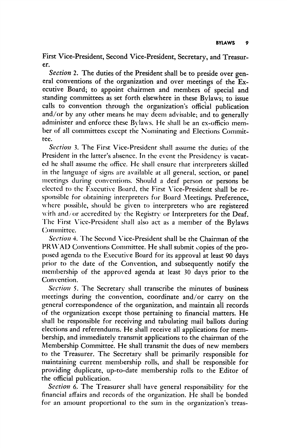First Vice-President, Second Vice-President, Secretary, and Treasur er.

Section 2. The duties of the President shall be to preside over general conventions of the organization and over meetings of the Ex ecutive Board; to appoint chairmen and members of special and standing committees as set forth elsewhere in these Bylaws; to issue calls to convention through the organization's official publication and/or by any other means he may deem advisable; and to generally administer and enforce these Bylaws. He shall be an ex-officio member of all committees except the Nominating and Elections Commit tee.

Section 3. The First Vice-President shall assume the duties of the President in the latter's absence. In the event the Presidency is vacat ed he shall assume the office. He shall ensure that interpreters skilled in the language of signs are available at all general, section, or panel meetings during conventions. Should a deaf person or persons be elected to the Executive Board, the First \'ice-President shall be re sponsible for obtaining interpreters for Board Meetings. Preference, where possible, should be given to interpreters who are registered with and/ or accredited by the Registry or Interpreters for the Deaf. The First Vice-President shall also act as a member of the Bylaws (^)minittee.

Section 4. The Second Vice-President shall be the Chairman of the PRWAD Conventions Committee. He shall submit copies of the pro posed agenda to the Executive Board for its approval at least 90 days prior to the date of the Convention, and subsequently notify the membership of the approved agenda at least 30 days prior to the Convention.

Section 5. The Secretary shall transcribe the minutes of business meetings during the convention, coordinate and/or carry on the general correspondence of the organization, and maintain all records of the organization except those pertaining to financial matters. He shall be responsible for receiving and tabulating mail ballots during elections and referendums. He shall receive all applications for mem bership, and immediately transmit applications to the chairman of the Membership Committee. He shall transmit the dues of new members to the Treasurer. The Secretary shall be primarily responsible for maintaining current membership rolls, and shall be responsible for providing duplicate, up-to-date membership rolls to the Editor of the official publication.

Section 6. The Treasurer shall have general responsibility for the financial affairs and records of the organization. He shall be bonded for an amount proportional to the sum in the organization's treas-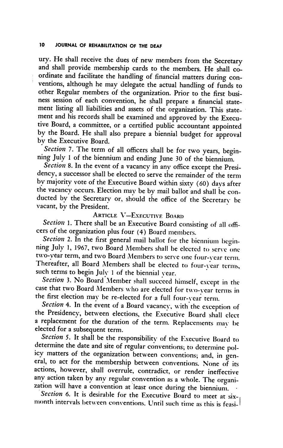## 10 JOURNAL OF REHABILITATION OF THE DEAF

ury. He shall receive the dues of new members from the Secretary and shall provide membership cards to the members. He shall co ordinate and facilitate the handling of financial matters during con ventions, although he may delegate the actual handling of funds to other Regular members of the organization. Prior to the first busi ness session of each convention, he shall prepare a financial state ment listing all liabilities and assets of the organization. This state ment and his records shall be examined and approved by the Execu tive Board, a committee, or a certified public accountant appointed by the Board. He shall also prepare a biennial budget for approval by the Executive Board.

Section 7. The term of all officers shall be for two years, beginning July 1 of the biennium and ending June 30 of the biennium.

Section 8. In the event of a vacancy in any office except the Presidency, a successor shall be elected to serve the remainder of the term by majority vote of the Executive Board within sixty (60) days after the vacancy occurs. Election may be by mail ballot and shall be con ducted by the Secretary or, should the office of the Secretary be vacant, by the President.

# Article V—Executive Board

Section 1. There shall be an Executive Board consisting of all officers of the organization plus four (4) Board members.

Section 2. In the first general mail ballot for the biennium beginning July 1, 1967, two Board Members shall be elected to serve one two-year term, and two Board Members to serve one four-year term. Thereafter, all Board Members shall be elected to four-year terms, such terms to begin July 1 of the biennial vear.

Section 3. No Board Member shall succeed himself, except in the case that two Board Alembers who are elected for two-year terms in the first election may be re-elected for a full four-year term.

Section 4. In the event of a Board vacancy, with the exception of the Presidency, between elections, the Executive Board shall elect a replacement for the duration of the term. Replacements may be elected for a subsequent term.

Section 5. It shall be the responsibility of the Executive Board to determine the date and site of regular conventions; to determine pol icy matters of the organization between conventions; and, in gen eral, to act for the membership between conventions. None of its actions, however, shall overrule, contradict, or render ineffective any action taken by any regular convention as a whole. The organi zation will have a convention at least once during the biennium. •

Section 6. It is desirable for the Executive Board to meet at  $six$ month intervals between conventions. Until such time as this is feasi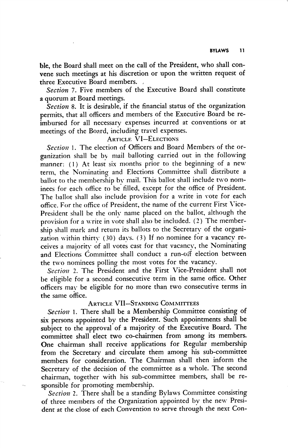ble, the Board shall meet on the call of the President, who shall con vene such meetings at his discretion or upon the written request of three Executive Board members. ,

Section 7. Five members of the Executive Board shall constitute a quorum at Board meetings.

Section 8. It is desirable, if the financial status of the organization permits, that all officers and members of the Executive Board be re imbursed for all necessary expenses incurred at conventions or at meetings of the Board, including travel expenses.

# **ARTICLE VI-ELECTIONS**

Section 1. The election of Officers and Board Members of the organization shall be bv mail balloting carried out in the following manner: (1) At least six months prior to the beginning of a new term, the Nominating and Elections Committee shall distribute a ballot to the membership by mail. This ballot shall include two nom inees for each office to be filled, except for the office of President. The ballot shall also include provision for a write in vote for each office. For the office of President, the name of the current First Vice-President shall be the only name placed on the ballot, although the provision for a write in vote shall also be included. (2) The member ship shall mark and return its ballots to the Secretary of the organi zation within thirty (30) days. (3) If no nominee for a vacancy re ceives a majority of all votes cast for that vacancy, the Nominating and Elections Committee shall conduct a run-off election between the two nominees polling the most votes for the vacancy.

Section 2. The President and the First Vice-President shall not be eligible for a second consecutive term in the same office. Other officers may be eligible for no more than two consecutive terms in the same office.

#### Article VII—Standing Committees

Section 1. There shall be a Membership Committee consisting of six persons appointed by the President. Such appointments shall be subject to the approval of a majority of the Executive Board. The committee shall elect two co-chairmen from among its members. One chairman shall receive applications for Regular membership from the Secretary and circulate them among his sub-committee members for consideration. The Chairman shall then inform the Secretary of the decision of the committee as a whole. The second chairman, together with his sub-committee members, shall be re sponsible for promoting membership.

Section 2. There shall be a standing Bylaws Committee consisting of three members of the Organization appointed by the new Presi dent at the close of each Convention to serve through the next Con-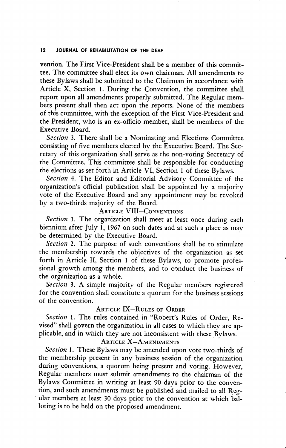#### 12 JOURNAL OF REHABILITATION OF THE DEAF

vention. The First Vice-President shall be a member of this commit tee. The committee shall elect its own chairman. All amendments to these Bylaws shall be submitted to the Chairman in accordance with Article X, Section 1. During the Convention, the committee shall report upon all amendments properly submitted. The Regular mem bers present shall then act upon the reports. None of the members of this committee, with the exception of the First Vice-President and the President, who is an ex-officio member, shall be members of the Executive Board.

Section 3. There shall be a Nominating and Elections Committee consisting of five members elected by the Executive Board. The Sec retary of this organization shall serve as the non-voting Secretary of the Committee. This committee shall be responsible for conducting the elections as set forth in Article VI, Section 1 of these Bylaws.

Section 4. The Editor and Editorial Advisory Committee of the organization's official publication shall be appointed by a majority vote of the Executive Board and any appointment may be revoked by a two-thirds majority of the Board.

## Article VIII—Conventions

Section 1. The organization shall meet at least once during each biennium after July 1, 1967 on such dates and at such a place as may be determined by the Executive Board.

Section 2. The purpose of such conventions shall be to stimulate the membership towards the objectives of the organization as set forth in Article II, Section 1 of these Bylaws, to promote profes sional growth among the members, and to conduct the business of the organization as a whole.

Section 3. A simple majority of the Regular members registered for the convention shall constitute a quorum for the business sessions of the convention.

### Article IX—Rules of Order

Section 1. The rules contained in "Robert's Rules of Order, Revised" shall govern the organization in all cases to which they are ap plicable, and in which they are not inconsistent with these Bylaws.

## Article X—Amendments

Section 1. These Bylaws may be amended upon vote two-thirds of the membership present in any business session of the organization during conventions, a quorum being present and voting. However, Regular members must submit amendments to the chairman of the Bylaws Committee in writing at least 90 days prior to the conven tion, and such amendments must be published and mailed to all Reg ular members at least 30 days prior to the convention at which bal loting is to be held on the proposed amendment.